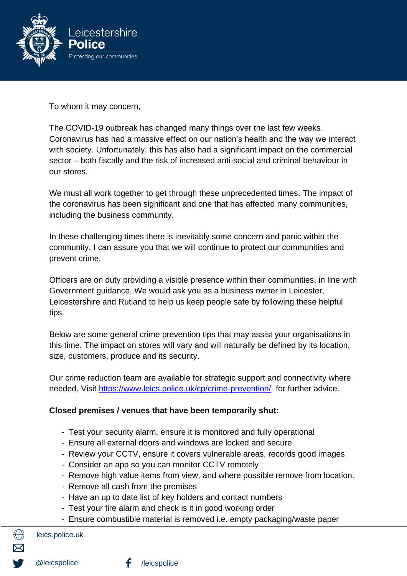

To whom it may concern,

The COVID-19 outbreak has changed many things over the last few weeks. Coronavirus has had a massive effect on our nation's health and the way we interact with society. Unfortunately, this has also had a significant impact on the commercial sector – both fiscally and the risk of increased anti-social and criminal behaviour in our stores.

We must all work together to get through these unprecedented times. The impact of the coronavirus has been significant and one that has affected many communities, including the business community.

In these challenging times there is inevitably some concern and panic within the community. I can assure you that we will continue to protect our communities and prevent crime.

Officers are on duty providing a visible presence within their communities, in line with Government guidance. We would ask you as a business owner in Leicester, Leicestershire and Rutland to help us keep people safe by following these helpful tips.

Below are some general crime prevention tips that may assist your organisations in this time. The impact on stores will vary and will naturally be defined by its location, size, customers, produce and its security.

Our crime reduction team are available for strategic support and connectivity where needed. Visit<https://www.leics.police.uk/cp/crime-prevention/> for further advice.

## **Closed premises / venues that have been temporarily shut:**

- Test your security alarm, ensure it is monitored and fully operational
- Ensure all external doors and windows are locked and secure
- Review your CCTV, ensure it covers vulnerable areas, records good images
- Consider an app so you can monitor CCTV remotely
- Remove high value items from view, and where possible remove from location.
- Remove all cash from the premises
- Have an up to date list of key holders and contact numbers
- Test your fire alarm and check is it in good working order
- Ensure combustible material is removed i.e. empty packaging/waste paper

leics.police.uk

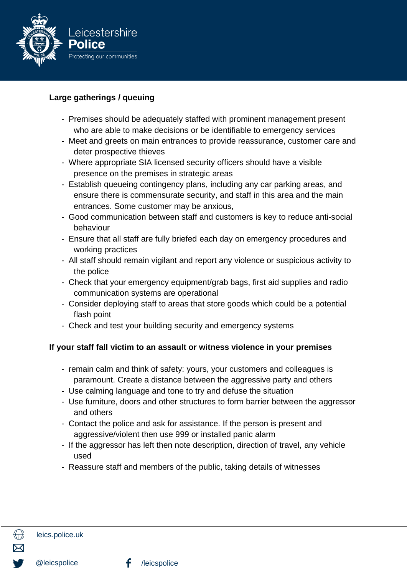

## **Large gatherings / queuing**

- Premises should be adequately staffed with prominent management present who are able to make decisions or be identifiable to emergency services
- Meet and greets on main entrances to provide reassurance, customer care and deter prospective thieves
- Where appropriate SIA licensed security officers should have a visible presence on the premises in strategic areas
- Establish queueing contingency plans, including any car parking areas, and ensure there is commensurate security, and staff in this area and the main entrances. Some customer may be anxious,
- Good communication between staff and customers is key to reduce anti-social behaviour
- Ensure that all staff are fully briefed each day on emergency procedures and working practices
- All staff should remain vigilant and report any violence or suspicious activity to the police
- Check that your emergency equipment/grab bags, first aid supplies and radio communication systems are operational
- Consider deploying staff to areas that store goods which could be a potential flash point
- Check and test your building security and emergency systems

## **If your staff fall victim to an assault or witness violence in your premises**

- remain calm and think of safety: yours, your customers and colleagues is paramount. Create a distance between the aggressive party and others
- Use calming language and tone to try and defuse the situation
- Use furniture, doors and other structures to form barrier between the aggressor and others
- Contact the police and ask for assistance. If the person is present and aggressive/violent then use 999 or installed panic alarm
- If the aggressor has left then note description, direction of travel, any vehicle used
- Reassure staff and members of the public, taking details of witnesses

∰